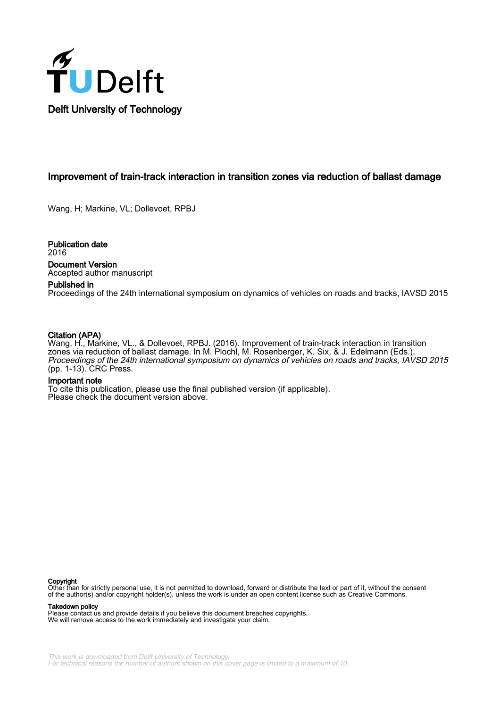

## Improvement of train-track interaction in transition zones via reduction of ballast damage

Wang, H; Markine, VL; Dollevoet, RPBJ

Publication date 2016 Document Version Accepted author manuscript

#### Published in

Proceedings of the 24th international symposium on dynamics of vehicles on roads and tracks, IAVSD 2015

## Citation (APA)

Wang, H., Markine, VL., & Dollevoet, RPBJ. (2016). Improvement of train-track interaction in transition zones via reduction of ballast damage. In M. Plochl, M. Rosenberger, K. Six, & J. Edelmann (Eds.), Proceedings of the 24th international symposium on dynamics of vehicles on roads and tracks, IAVSD 2015 (pp. 1-13). CRC Press.

#### Important note

To cite this publication, please use the final published version (if applicable). Please check the document version above.

#### Copyright

Other than for strictly personal use, it is not permitted to download, forward or distribute the text or part of it, without the consent of the author(s) and/or copyright holder(s), unless the work is under an open content license such as Creative Commons.

#### Takedown policy

Please contact us and provide details if you believe this document breaches copyrights. We will remove access to the work immediately and investigate your claim.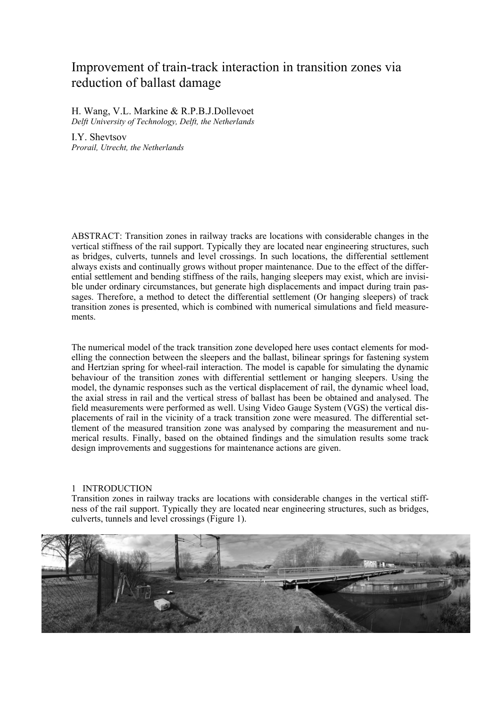# Improvement of train-track interaction in transition zones via reduction of ballast damage

H. Wang, V.L. Markine & R.P.B.J.Dollevoet *Delft University of Technology, Delft, the Netherlands* 

I.Y. Shevtsov *Prorail, Utrecht, the Netherlands* 

ABSTRACT: Transition zones in railway tracks are locations with considerable changes in the vertical stiffness of the rail support. Typically they are located near engineering structures, such as bridges, culverts, tunnels and level crossings. In such locations, the differential settlement always exists and continually grows without proper maintenance. Due to the effect of the differential settlement and bending stiffness of the rails, hanging sleepers may exist, which are invisible under ordinary circumstances, but generate high displacements and impact during train passages. Therefore, a method to detect the differential settlement (Or hanging sleepers) of track transition zones is presented, which is combined with numerical simulations and field measurements.

The numerical model of the track transition zone developed here uses contact elements for modelling the connection between the sleepers and the ballast, bilinear springs for fastening system and Hertzian spring for wheel-rail interaction. The model is capable for simulating the dynamic behaviour of the transition zones with differential settlement or hanging sleepers. Using the model, the dynamic responses such as the vertical displacement of rail, the dynamic wheel load, the axial stress in rail and the vertical stress of ballast has been be obtained and analysed. The field measurements were performed as well. Using Video Gauge System (VGS) the vertical displacements of rail in the vicinity of a track transition zone were measured. The differential settlement of the measured transition zone was analysed by comparing the measurement and numerical results. Finally, based on the obtained findings and the simulation results some track design improvements and suggestions for maintenance actions are given.

## 1 INTRODUCTION

Transition zones in railway tracks are locations with considerable changes in the vertical stiffness of the rail support. Typically they are located near engineering structures, such as bridges, culverts, tunnels and level crossings (Figure 1).

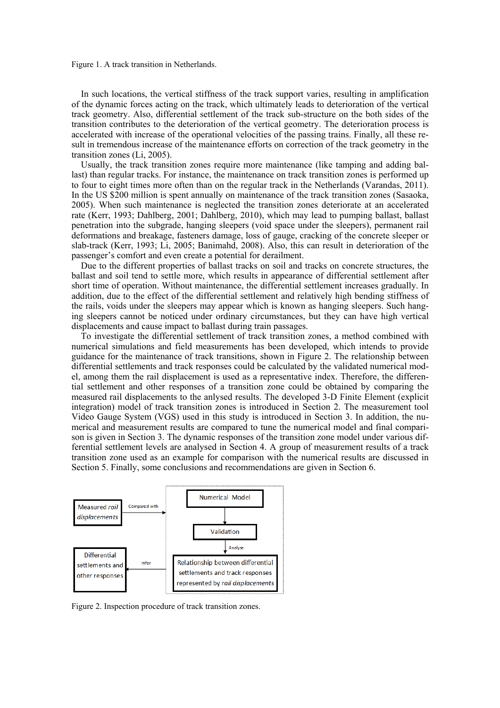Figure 1. A track transition in Netherlands.

In such locations, the vertical stiffness of the track support varies, resulting in amplification of the dynamic forces acting on the track, which ultimately leads to deterioration of the vertical track geometry. Also, differential settlement of the track sub-structure on the both sides of the transition contributes to the deterioration of the vertical geometry. The deterioration process is accelerated with increase of the operational velocities of the passing trains. Finally, all these result in tremendous increase of the maintenance efforts on correction of the track geometry in the transition zones (Li, 2005).

Usually, the track transition zones require more maintenance (like tamping and adding ballast) than regular tracks. For instance, the maintenance on track transition zones is performed up to four to eight times more often than on the regular track in the Netherlands (Varandas, 2011). In the US \$200 million is spent annually on maintenance of the track transition zones (Sasaoka, 2005). When such maintenance is neglected the transition zones deteriorate at an accelerated rate (Kerr, 1993; Dahlberg, 2001; Dahlberg, 2010), which may lead to pumping ballast, ballast penetration into the subgrade, hanging sleepers (void space under the sleepers), permanent rail deformations and breakage, fasteners damage, loss of gauge, cracking of the concrete sleeper or slab-track (Kerr, 1993; Li, 2005; Banimahd, 2008). Also, this can result in deterioration of the passenger's comfort and even create a potential for derailment.

Due to the different properties of ballast tracks on soil and tracks on concrete structures, the ballast and soil tend to settle more, which results in appearance of differential settlement after short time of operation. Without maintenance, the differential settlement increases gradually. In addition, due to the effect of the differential settlement and relatively high bending stiffness of the rails, voids under the sleepers may appear which is known as hanging sleepers. Such hanging sleepers cannot be noticed under ordinary circumstances, but they can have high vertical displacements and cause impact to ballast during train passages.

To investigate the differential settlement of track transition zones, a method combined with numerical simulations and field measurements has been developed, which intends to provide guidance for the maintenance of track transitions, shown in Figure 2. The relationship between differential settlements and track responses could be calculated by the validated numerical model, among them the rail displacement is used as a representative index. Therefore, the differential settlement and other responses of a transition zone could be obtained by comparing the measured rail displacements to the anlysed results. The developed 3-D Finite Element (explicit integration) model of track transition zones is introduced in Section 2. The measurement tool Video Gauge System (VGS) used in this study is introduced in Section 3. In addition, the numerical and measurement results are compared to tune the numerical model and final comparison is given in Section 3. The dynamic responses of the transition zone model under various differential settlement levels are analysed in Section 4. A group of measurement results of a track transition zone used as an example for comparison with the numerical results are discussed in Section 5. Finally, some conclusions and recommendations are given in Section 6.



Figure 2. Inspection procedure of track transition zones.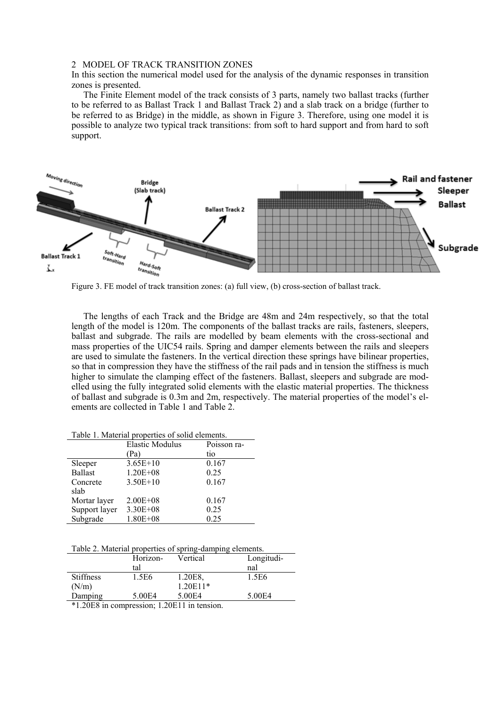## 2 MODEL OF TRACK TRANSITION ZONES

In this section the numerical model used for the analysis of the dynamic responses in transition zones is presented.

The Finite Element model of the track consists of 3 parts, namely two ballast tracks (further to be referred to as Ballast Track 1 and Ballast Track 2) and a slab track on a bridge (further to be referred to as Bridge) in the middle, as shown in Figure 3. Therefore, using one model it is possible to analyze two typical track transitions: from soft to hard support and from hard to soft support.



Figure 3. FE model of track transition zones: (a) full view, (b) cross-section of ballast track.

The lengths of each Track and the Bridge are 48m and 24m respectively, so that the total length of the model is 120m. The components of the ballast tracks are rails, fasteners, sleepers, ballast and subgrade. The rails are modelled by beam elements with the cross-sectional and mass properties of the UIC54 rails. Spring and damper elements between the rails and sleepers are used to simulate the fasteners. In the vertical direction these springs have bilinear properties, so that in compression they have the stiffness of the rail pads and in tension the stiffness is much higher to simulate the clamping effect of the fasteners. Ballast, sleepers and subgrade are modelled using the fully integrated solid elements with the elastic material properties. The thickness of ballast and subgrade is 0.3m and 2m, respectively. The material properties of the model's elements are collected in Table 1 and Table 2.

| raone 1. mandraf properties of some enements. |                        |             |  |
|-----------------------------------------------|------------------------|-------------|--|
|                                               | <b>Elastic Modulus</b> | Poisson ra- |  |
|                                               | (Pa)                   | tio         |  |
| Sleeper                                       | $3.65E+10$             | 0.167       |  |
| <b>Ballast</b>                                | $1.20E + 08$           | 0.25        |  |
| Concrete                                      | $3.50E+10$             | 0.167       |  |
| slab                                          |                        |             |  |
| Mortar layer                                  | $2.00E + 08$           | 0.167       |  |
| Support layer                                 | $3.30E + 08$           | 0.25        |  |
| Subgrade                                      | $1.80E + 08$           | 0.25        |  |

Table 1. Material properties of solid elements.

Table 2. Material properties of spring-damping elements.

|                  | Horizon- | Vertical   | Longitudi- |
|------------------|----------|------------|------------|
|                  | tal      |            | nal        |
| <b>Stiffness</b> | 1.5E6    | 1.20E8.    | 1.5E6      |
| (N/m)            |          | $1.20E11*$ |            |
| Damping          | 5.00E4   | 5.00E4     | 5.00E4     |

\*1.20E8 in compression; 1.20E11 in tension.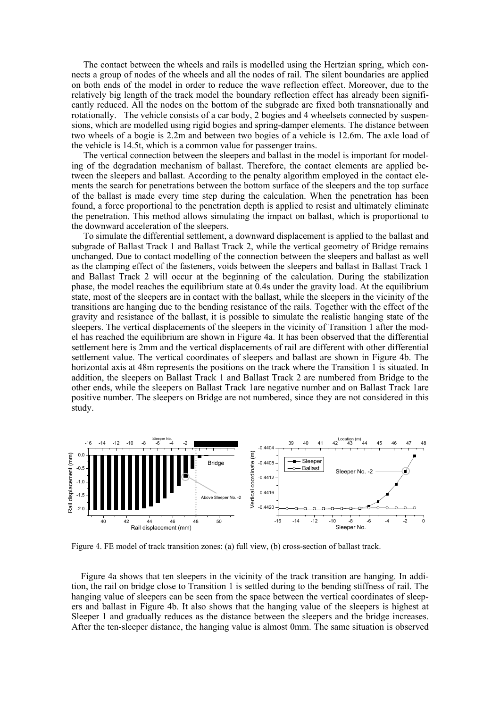The contact between the wheels and rails is modelled using the Hertzian spring, which connects a group of nodes of the wheels and all the nodes of rail. The silent boundaries are applied on both ends of the model in order to reduce the wave reflection effect. Moreover, due to the relatively big length of the track model the boundary reflection effect has already been significantly reduced. All the nodes on the bottom of the subgrade are fixed both transnationally and rotationally. The vehicle consists of a car body, 2 bogies and 4 wheelsets connected by suspensions, which are modelled using rigid bogies and spring-damper elements. The distance between two wheels of a bogie is 2.2m and between two bogies of a vehicle is 12.6m. The axle load of the vehicle is 14.5t, which is a common value for passenger trains.

The vertical connection between the sleepers and ballast in the model is important for modeling of the degradation mechanism of ballast. Therefore, the contact elements are applied between the sleepers and ballast. According to the penalty algorithm employed in the contact elements the search for penetrations between the bottom surface of the sleepers and the top surface of the ballast is made every time step during the calculation. When the penetration has been found, a force proportional to the penetration depth is applied to resist and ultimately eliminate the penetration. This method allows simulating the impact on ballast, which is proportional to the downward acceleration of the sleepers.

To simulate the differential settlement, a downward displacement is applied to the ballast and subgrade of Ballast Track 1 and Ballast Track 2, while the vertical geometry of Bridge remains unchanged. Due to contact modelling of the connection between the sleepers and ballast as well as the clamping effect of the fasteners, voids between the sleepers and ballast in Ballast Track 1 and Ballast Track 2 will occur at the beginning of the calculation. During the stabilization phase, the model reaches the equilibrium state at 0.4s under the gravity load. At the equilibrium state, most of the sleepers are in contact with the ballast, while the sleepers in the vicinity of the transitions are hanging due to the bending resistance of the rails. Together with the effect of the gravity and resistance of the ballast, it is possible to simulate the realistic hanging state of the sleepers. The vertical displacements of the sleepers in the vicinity of Transition 1 after the model has reached the equilibrium are shown in Figure 4a. It has been observed that the differential settlement here is 2mm and the vertical displacements of rail are different with other differential settlement value. The vertical coordinates of sleepers and ballast are shown in Figure 4b. The horizontal axis at 48m represents the positions on the track where the Transition 1 is situated. In addition, the sleepers on Ballast Track 1 and Ballast Track 2 are numbered from Bridge to the other ends, while the sleepers on Ballast Track 1are negative number and on Ballast Track 1are positive number. The sleepers on Bridge are not numbered, since they are not considered in this study.



Figure 4. FE model of track transition zones: (a) full view, (b) cross-section of ballast track.

Figure 4a shows that ten sleepers in the vicinity of the track transition are hanging. In addition, the rail on bridge close to Transition 1 is settled during to the bending stiffness of rail. The hanging value of sleepers can be seen from the space between the vertical coordinates of sleepers and ballast in Figure 4b. It also shows that the hanging value of the sleepers is highest at Sleeper 1 and gradually reduces as the distance between the sleepers and the bridge increases. After the ten-sleeper distance, the hanging value is almost 0mm. The same situation is observed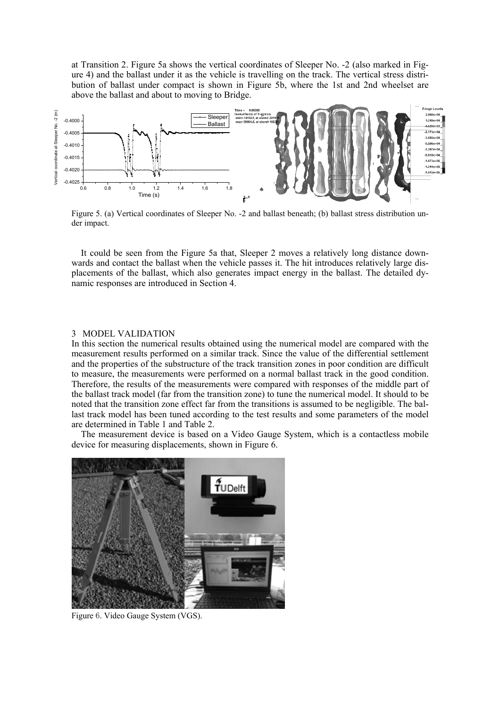at Transition 2. Figure 5a shows the vertical coordinates of Sleeper No. -2 (also marked in Figure 4) and the ballast under it as the vehicle is travelling on the track. The vertical stress distribution of ballast under compact is shown in Figure 5b, where the 1st and 2nd wheelset are above the ballast and about to moving to Bridge.



Figure 5. (a) Vertical coordinates of Sleeper No. -2 and ballast beneath; (b) ballast stress distribution under impact.

It could be seen from the Figure 5a that, Sleeper 2 moves a relatively long distance downwards and contact the ballast when the vehicle passes it. The hit introduces relatively large displacements of the ballast, which also generates impact energy in the ballast. The detailed dynamic responses are introduced in Section 4.

#### 3 MODEL VALIDATION

In this section the numerical results obtained using the numerical model are compared with the measurement results performed on a similar track. Since the value of the differential settlement and the properties of the substructure of the track transition zones in poor condition are difficult to measure, the measurements were performed on a normal ballast track in the good condition. Therefore, the results of the measurements were compared with responses of the middle part of the ballast track model (far from the transition zone) to tune the numerical model. It should to be noted that the transition zone effect far from the transitions is assumed to be negligible. The ballast track model has been tuned according to the test results and some parameters of the model are determined in Table 1 and Table 2.

The measurement device is based on a Video Gauge System, which is a contactless mobile device for measuring displacements, shown in Figure 6.



Figure 6. Video Gauge System (VGS).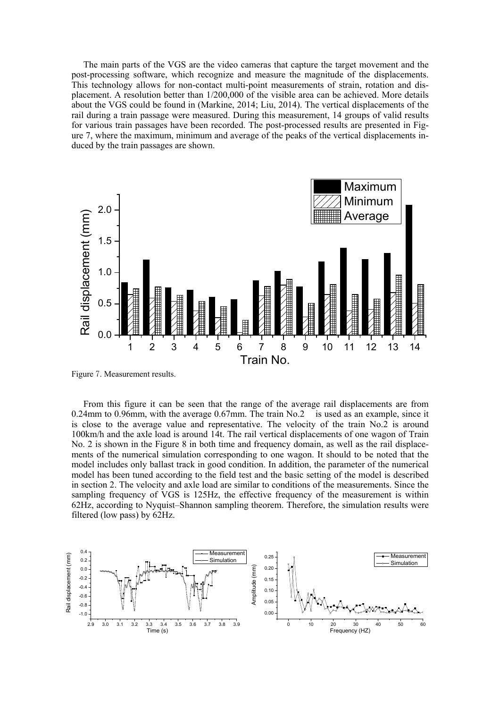The main parts of the VGS are the video cameras that capture the target movement and the post-processing software, which recognize and measure the magnitude of the displacements. This technology allows for non-contact multi-point measurements of strain, rotation and displacement. A resolution better than 1/200,000 of the visible area can be achieved. More details about the VGS could be found in (Markine, 2014; Liu, 2014). The vertical displacements of the rail during a train passage were measured. During this measurement, 14 groups of valid results for various train passages have been recorded. The post-processed results are presented in Figure 7, where the maximum, minimum and average of the peaks of the vertical displacements induced by the train passages are shown.



Figure 7. Measurement results.

From this figure it can be seen that the range of the average rail displacements are from 0.24mm to 0.96mm, with the average 0.67mm. The train No.2 is used as an example, since it is close to the average value and representative. The velocity of the train No.2 is around 100km/h and the axle load is around 14t. The rail vertical displacements of one wagon of Train No. 2 is shown in the Figure 8 in both time and frequency domain, as well as the rail displacements of the numerical simulation corresponding to one wagon. It should to be noted that the model includes only ballast track in good condition. In addition, the parameter of the numerical model has been tuned according to the field test and the basic setting of the model is described in section 2. The velocity and axle load are similar to conditions of the measurements. Since the sampling frequency of VGS is 125Hz, the effective frequency of the measurement is within 62Hz, according to Nyquist–Shannon sampling theorem. Therefore, the simulation results were filtered (low pass) by 62Hz.

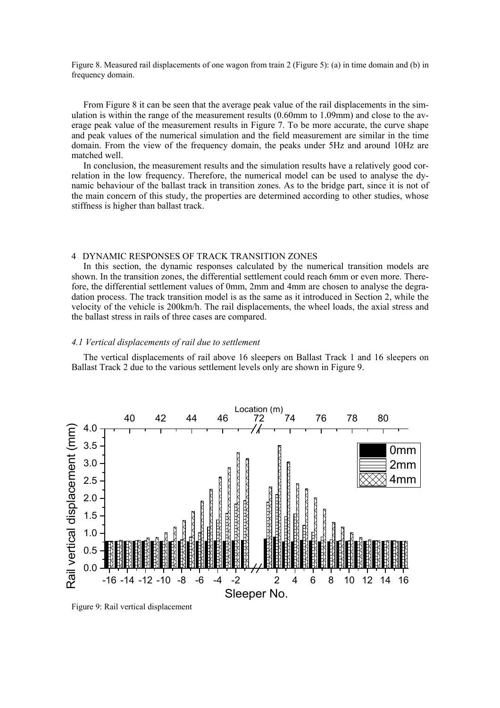Figure 8. Measured rail displacements of one wagon from train 2 (Figure 5): (a) in time domain and (b) in frequency domain.

From Figure 8 it can be seen that the average peak value of the rail displacements in the simulation is within the range of the measurement results (0.60mm to 1.09mm) and close to the average peak value of the measurement results in Figure 7. To be more accurate, the curve shape and peak values of the numerical simulation and the field measurement are similar in the time domain. From the view of the frequency domain, the peaks under 5Hz and around 10Hz are matched well.

In conclusion, the measurement results and the simulation results have a relatively good correlation in the low frequency. Therefore, the numerical model can be used to analyse the dynamic behaviour of the ballast track in transition zones. As to the bridge part, since it is not of the main concern of this study, the properties are determined according to other studies, whose stiffness is higher than ballast track.

## 4 DYNAMIC RESPONSES OF TRACK TRANSITION ZONES

In this section, the dynamic responses calculated by the numerical transition models are shown. In the transition zones, the differential settlement could reach 6mm or even more. Therefore, the differential settlement values of 0mm, 2mm and 4mm are chosen to analyse the degradation process. The track transition model is as the same as it introduced in Section 2, while the velocity of the vehicle is 200km/h. The rail displacements, the wheel loads, the axial stress and the ballast stress in rails of three cases are compared.

#### *4.1 Vertical displacements of rail due to settlement*

The vertical displacements of rail above 16 sleepers on Ballast Track 1 and 16 sleepers on Ballast Track 2 due to the various settlement levels only are shown in Figure 9.



Figure 9: Rail vertical displacement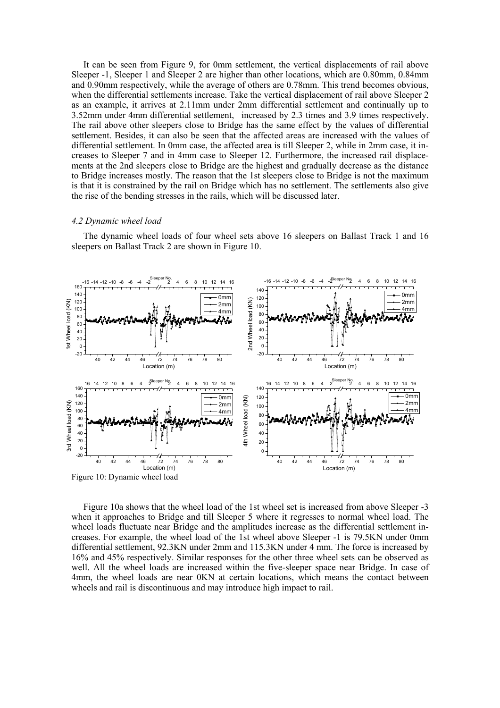It can be seen from Figure 9, for 0mm settlement, the vertical displacements of rail above Sleeper -1, Sleeper 1 and Sleeper 2 are higher than other locations, which are 0.80mm, 0.84mm and 0.90mm respectively, while the average of others are 0.78mm. This trend becomes obvious, when the differential settlements increase. Take the vertical displacement of rail above Sleeper 2 as an example, it arrives at 2.11mm under 2mm differential settlement and continually up to 3.52mm under 4mm differential settlement, increased by 2.3 times and 3.9 times respectively. The rail above other sleepers close to Bridge has the same effect by the values of differential settlement. Besides, it can also be seen that the affected areas are increased with the values of differential settlement. In 0mm case, the affected area is till Sleeper 2, while in 2mm case, it increases to Sleeper 7 and in 4mm case to Sleeper 12. Furthermore, the increased rail displacements at the 2nd sleepers close to Bridge are the highest and gradually decrease as the distance to Bridge increases mostly. The reason that the 1st sleepers close to Bridge is not the maximum is that it is constrained by the rail on Bridge which has no settlement. The settlements also give the rise of the bending stresses in the rails, which will be discussed later.

#### *4.2 Dynamic wheel load*

The dynamic wheel loads of four wheel sets above 16 sleepers on Ballast Track 1 and 16 sleepers on Ballast Track 2 are shown in Figure 10.



Figure 10a shows that the wheel load of the 1st wheel set is increased from above Sleeper -3 when it approaches to Bridge and till Sleeper 5 where it regresses to normal wheel load. The wheel loads fluctuate near Bridge and the amplitudes increase as the differential settlement increases. For example, the wheel load of the 1st wheel above Sleeper -1 is 79.5KN under 0mm differential settlement, 92.3KN under 2mm and 115.3KN under 4 mm. The force is increased by 16% and 45% respectively. Similar responses for the other three wheel sets can be observed as well. All the wheel loads are increased within the five-sleeper space near Bridge. In case of 4mm, the wheel loads are near 0KN at certain locations, which means the contact between

wheels and rail is discontinuous and may introduce high impact to rail.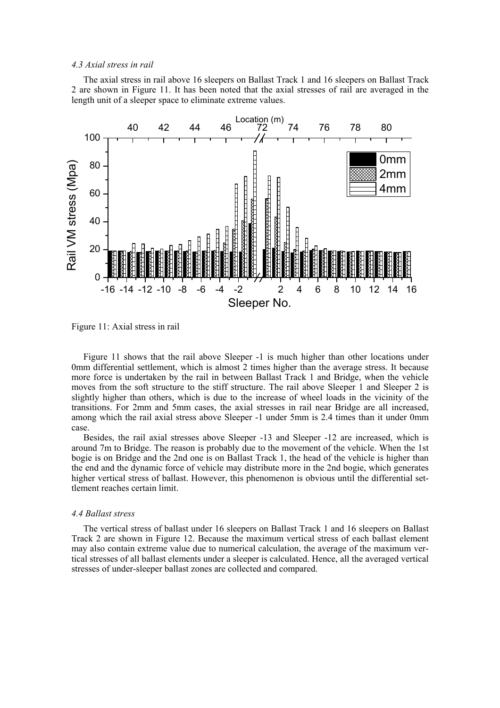#### *4.3 Axial stress in rail*

The axial stress in rail above 16 sleepers on Ballast Track 1 and 16 sleepers on Ballast Track 2 are shown in Figure 11. It has been noted that the axial stresses of rail are averaged in the length unit of a sleeper space to eliminate extreme values.



Figure 11: Axial stress in rail

Figure 11 shows that the rail above Sleeper -1 is much higher than other locations under 0mm differential settlement, which is almost 2 times higher than the average stress. It because more force is undertaken by the rail in between Ballast Track 1 and Bridge, when the vehicle moves from the soft structure to the stiff structure. The rail above Sleeper 1 and Sleeper 2 is slightly higher than others, which is due to the increase of wheel loads in the vicinity of the transitions. For 2mm and 5mm cases, the axial stresses in rail near Bridge are all increased, among which the rail axial stress above Sleeper -1 under 5mm is 2.4 times than it under 0mm case.

Besides, the rail axial stresses above Sleeper -13 and Sleeper -12 are increased, which is around 7m to Bridge. The reason is probably due to the movement of the vehicle. When the 1st bogie is on Bridge and the 2nd one is on Ballast Track 1, the head of the vehicle is higher than the end and the dynamic force of vehicle may distribute more in the 2nd bogie, which generates higher vertical stress of ballast. However, this phenomenon is obvious until the differential settlement reaches certain limit.

## *4.4 Ballast stress*

The vertical stress of ballast under 16 sleepers on Ballast Track 1 and 16 sleepers on Ballast Track 2 are shown in Figure 12. Because the maximum vertical stress of each ballast element may also contain extreme value due to numerical calculation, the average of the maximum vertical stresses of all ballast elements under a sleeper is calculated. Hence, all the averaged vertical stresses of under-sleeper ballast zones are collected and compared.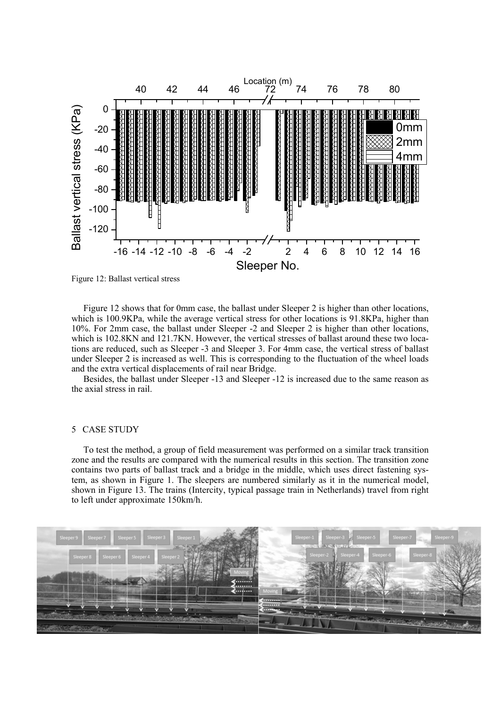

Figure 12: Ballast vertical stress

Figure 12 shows that for 0mm case, the ballast under Sleeper 2 is higher than other locations, which is 100.9KPa, while the average vertical stress for other locations is 91.8KPa, higher than 10%. For 2mm case, the ballast under Sleeper -2 and Sleeper 2 is higher than other locations, which is 102.8KN and 121.7KN. However, the vertical stresses of ballast around these two locations are reduced, such as Sleeper -3 and Sleeper 3. For 4mm case, the vertical stress of ballast under Sleeper 2 is increased as well. This is corresponding to the fluctuation of the wheel loads and the extra vertical displacements of rail near Bridge.

Besides, the ballast under Sleeper -13 and Sleeper -12 is increased due to the same reason as the axial stress in rail.

### 5 CASE STUDY

To test the method, a group of field measurement was performed on a similar track transition zone and the results are compared with the numerical results in this section. The transition zone contains two parts of ballast track and a bridge in the middle, which uses direct fastening system, as shown in Figure 1. The sleepers are numbered similarly as it in the numerical model, shown in Figure 13. The trains (Intercity, typical passage train in Netherlands) travel from right to left under approximate 150km/h.

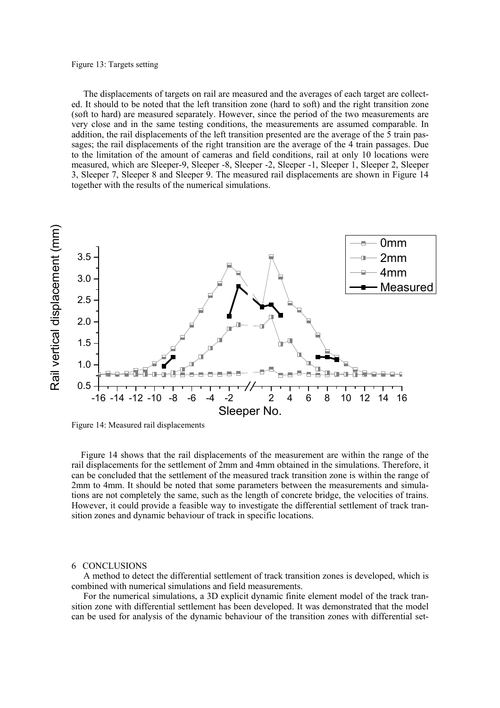#### Figure 13: Targets setting

The displacements of targets on rail are measured and the averages of each target are collected. It should to be noted that the left transition zone (hard to soft) and the right transition zone (soft to hard) are measured separately. However, since the period of the two measurements are very close and in the same testing conditions, the measurements are assumed comparable. In addition, the rail displacements of the left transition presented are the average of the 5 train passages; the rail displacements of the right transition are the average of the 4 train passages. Due to the limitation of the amount of cameras and field conditions, rail at only 10 locations were measured, which are Sleeper-9, Sleeper -8, Sleeper -2, Sleeper -1, Sleeper 1, Sleeper 2, Sleeper 3, Sleeper 7, Sleeper 8 and Sleeper 9. The measured rail displacements are shown in Figure 14 together with the results of the numerical simulations.



Figure 14: Measured rail displacements

Figure 14 shows that the rail displacements of the measurement are within the range of the rail displacements for the settlement of 2mm and 4mm obtained in the simulations. Therefore, it can be concluded that the settlement of the measured track transition zone is within the range of 2mm to 4mm. It should be noted that some parameters between the measurements and simulations are not completely the same, such as the length of concrete bridge, the velocities of trains. However, it could provide a feasible way to investigate the differential settlement of track transition zones and dynamic behaviour of track in specific locations.

#### 6 CONCLUSIONS

A method to detect the differential settlement of track transition zones is developed, which is combined with numerical simulations and field measurements.

For the numerical simulations, a 3D explicit dynamic finite element model of the track transition zone with differential settlement has been developed. It was demonstrated that the model can be used for analysis of the dynamic behaviour of the transition zones with differential set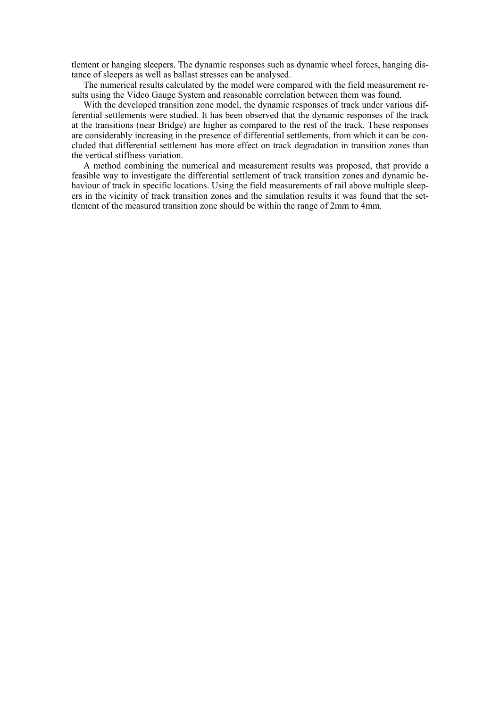tlement or hanging sleepers. The dynamic responses such as dynamic wheel forces, hanging distance of sleepers as well as ballast stresses can be analysed.

The numerical results calculated by the model were compared with the field measurement results using the Video Gauge System and reasonable correlation between them was found.

With the developed transition zone model, the dynamic responses of track under various differential settlements were studied. It has been observed that the dynamic responses of the track at the transitions (near Bridge) are higher as compared to the rest of the track. These responses are considerably increasing in the presence of differential settlements, from which it can be concluded that differential settlement has more effect on track degradation in transition zones than the vertical stiffness variation.

A method combining the numerical and measurement results was proposed, that provide a feasible way to investigate the differential settlement of track transition zones and dynamic behaviour of track in specific locations. Using the field measurements of rail above multiple sleepers in the vicinity of track transition zones and the simulation results it was found that the settlement of the measured transition zone should be within the range of 2mm to 4mm.